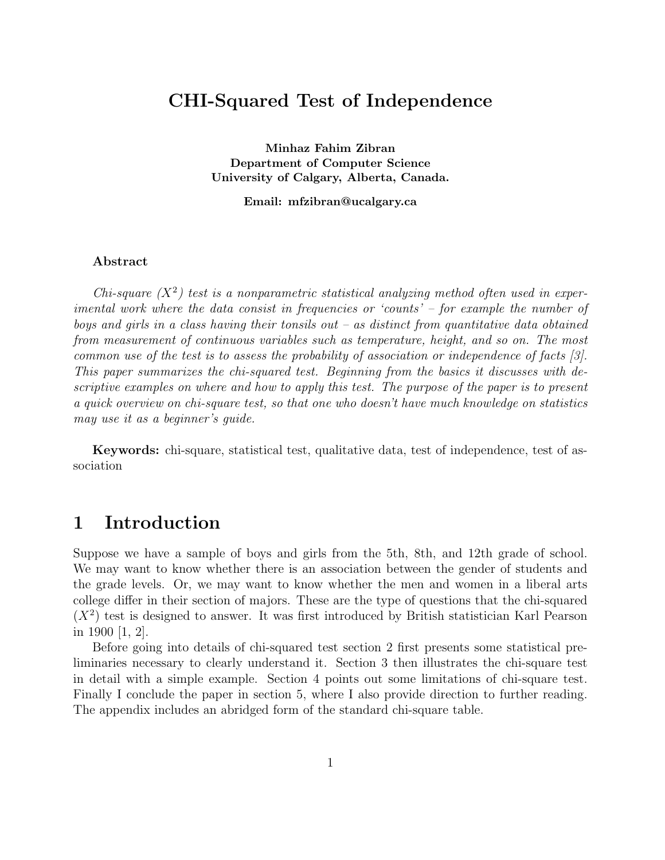## CHI-Squared Test of Independence

Minhaz Fahim Zibran Department of Computer Science University of Calgary, Alberta, Canada.

Email: mfzibran@ucalgary.ca

#### Abstract

Chi-square  $(X^2)$  test is a nonparametric statistical analyzing method often used in experimental work where the data consist in frequencies or 'counts' – for example the number of boys and girls in a class having their tonsils out – as distinct from quantitative data obtained from measurement of continuous variables such as temperature, height, and so on. The most common use of the test is to assess the probability of association or independence of facts [3]. This paper summarizes the chi-squared test. Beginning from the basics it discusses with descriptive examples on where and how to apply this test. The purpose of the paper is to present a quick overview on chi-square test, so that one who doesn't have much knowledge on statistics may use it as a beginner's guide.

Keywords: chi-square, statistical test, qualitative data, test of independence, test of association

## 1 Introduction

Suppose we have a sample of boys and girls from the 5th, 8th, and 12th grade of school. We may want to know whether there is an association between the gender of students and the grade levels. Or, we may want to know whether the men and women in a liberal arts college differ in their section of majors. These are the type of questions that the chi-squared  $(X<sup>2</sup>)$  test is designed to answer. It was first introduced by British statistician Karl Pearson in 1900 [1, 2].

Before going into details of chi-squared test section 2 first presents some statistical preliminaries necessary to clearly understand it. Section 3 then illustrates the chi-square test in detail with a simple example. Section 4 points out some limitations of chi-square test. Finally I conclude the paper in section 5, where I also provide direction to further reading. The appendix includes an abridged form of the standard chi-square table.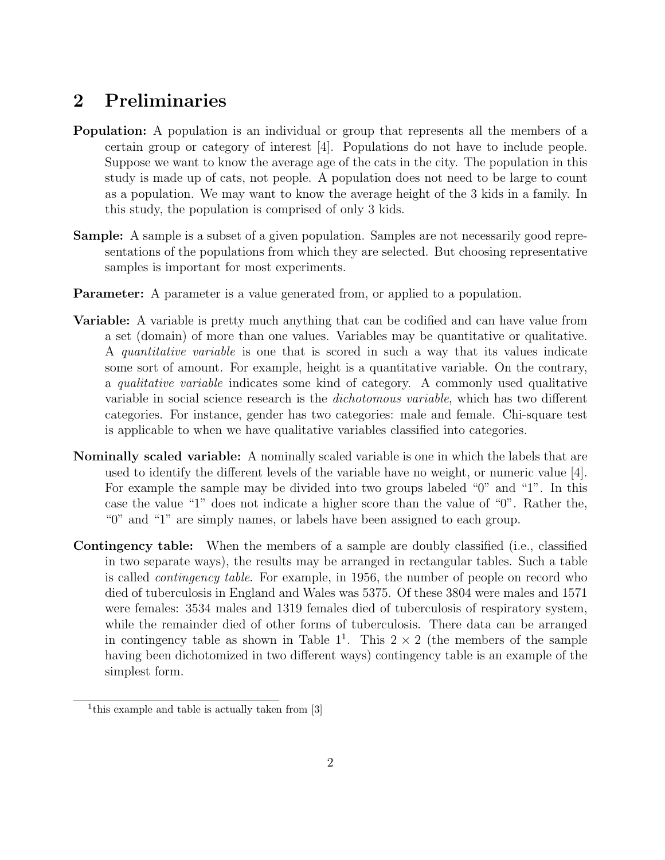## 2 Preliminaries

- Population: A population is an individual or group that represents all the members of a certain group or category of interest [4]. Populations do not have to include people. Suppose we want to know the average age of the cats in the city. The population in this study is made up of cats, not people. A population does not need to be large to count as a population. We may want to know the average height of the 3 kids in a family. In this study, the population is comprised of only 3 kids.
- Sample: A sample is a subset of a given population. Samples are not necessarily good representations of the populations from which they are selected. But choosing representative samples is important for most experiments.
- **Parameter:** A parameter is a value generated from, or applied to a population.
- Variable: A variable is pretty much anything that can be codified and can have value from a set (domain) of more than one values. Variables may be quantitative or qualitative. A quantitative variable is one that is scored in such a way that its values indicate some sort of amount. For example, height is a quantitative variable. On the contrary, a qualitative variable indicates some kind of category. A commonly used qualitative variable in social science research is the dichotomous variable, which has two different categories. For instance, gender has two categories: male and female. Chi-square test is applicable to when we have qualitative variables classified into categories.
- Nominally scaled variable: A nominally scaled variable is one in which the labels that are used to identify the different levels of the variable have no weight, or numeric value [4]. For example the sample may be divided into two groups labeled "0" and "1". In this case the value "1" does not indicate a higher score than the value of "0". Rather the, "0" and "1" are simply names, or labels have been assigned to each group.
- Contingency table: When the members of a sample are doubly classified (i.e., classified in two separate ways), the results may be arranged in rectangular tables. Such a table is called contingency table. For example, in 1956, the number of people on record who died of tuberculosis in England and Wales was 5375. Of these 3804 were males and 1571 were females: 3534 males and 1319 females died of tuberculosis of respiratory system, while the remainder died of other forms of tuberculosis. There data can be arranged in contingency table as shown in Table  $1^1$ . This  $2 \times 2$  (the members of the sample having been dichotomized in two different ways) contingency table is an example of the simplest form.

<sup>&</sup>lt;sup>1</sup>this example and table is actually taken from [3]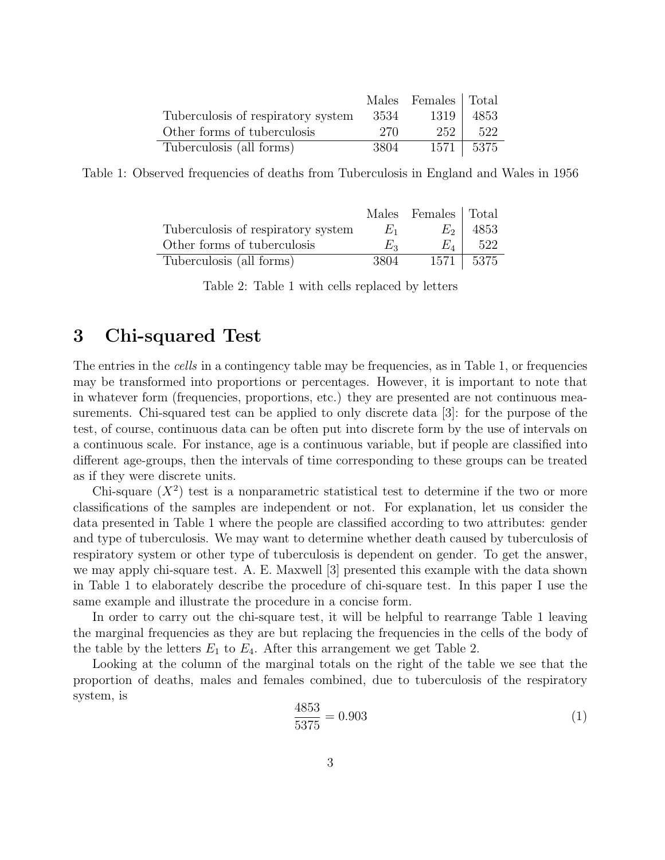|                                    |        | Males Females   Total |               |
|------------------------------------|--------|-----------------------|---------------|
| Tuberculosis of respiratory system | - 3534 | 1319                  | 4853          |
| Other forms of tuberculosis        | 270    | 252                   | 522           |
| Tuberculosis (all forms)           | 3804   |                       | $1571$   5375 |

Table 1: Observed frequencies of deaths from Tuberculosis in England and Wales in 1956

|                                    |         | Males Females   Total |               |
|------------------------------------|---------|-----------------------|---------------|
| Tuberculosis of respiratory system | $F_{1}$ | $E_2$                 | 4853          |
| Other forms of tuberculosis        | $E_2$   | $E_A$                 | 522           |
| Tuberculosis (all forms)           | 3804    |                       | $1571$   5375 |

Table 2: Table 1 with cells replaced by letters

## 3 Chi-squared Test

The entries in the *cells* in a contingency table may be frequencies, as in Table 1, or frequencies may be transformed into proportions or percentages. However, it is important to note that in whatever form (frequencies, proportions, etc.) they are presented are not continuous measurements. Chi-squared test can be applied to only discrete data [3]: for the purpose of the test, of course, continuous data can be often put into discrete form by the use of intervals on a continuous scale. For instance, age is a continuous variable, but if people are classified into different age-groups, then the intervals of time corresponding to these groups can be treated as if they were discrete units.

Chi-square  $(X^2)$  test is a nonparametric statistical test to determine if the two or more classifications of the samples are independent or not. For explanation, let us consider the data presented in Table 1 where the people are classified according to two attributes: gender and type of tuberculosis. We may want to determine whether death caused by tuberculosis of respiratory system or other type of tuberculosis is dependent on gender. To get the answer, we may apply chi-square test. A. E. Maxwell [3] presented this example with the data shown in Table 1 to elaborately describe the procedure of chi-square test. In this paper I use the same example and illustrate the procedure in a concise form.

In order to carry out the chi-square test, it will be helpful to rearrange Table 1 leaving the marginal frequencies as they are but replacing the frequencies in the cells of the body of the table by the letters  $E_1$  to  $E_4$ . After this arrangement we get Table 2.

Looking at the column of the marginal totals on the right of the table we see that the proportion of deaths, males and females combined, due to tuberculosis of the respiratory system, is

$$
\frac{4853}{5375} = 0.903\tag{1}
$$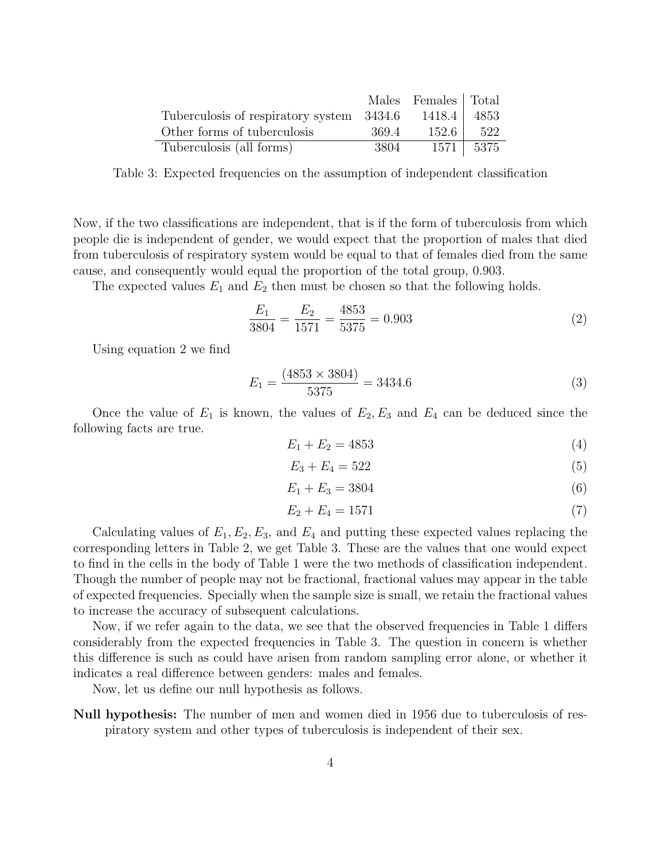|                                           |        | Males Females Total |                 |
|-------------------------------------------|--------|---------------------|-----------------|
| Tuberculosis of respiratory system 3434.6 |        | 1418.4              | 4853            |
| Other forms of tuberculosis               | -369.4 | - 152.6 1           | 522             |
| Tuberculosis (all forms)                  | 3804   |                     | $1571$   $5375$ |

Table 3: Expected frequencies on the assumption of independent classification

Now, if the two classifications are independent, that is if the form of tuberculosis from which people die is independent of gender, we would expect that the proportion of males that died from tuberculosis of respiratory system would be equal to that of females died from the same cause, and consequently would equal the proportion of the total group, 0.903.

The expected values  $E_1$  and  $E_2$  then must be chosen so that the following holds.

$$
\frac{E_1}{3804} = \frac{E_2}{1571} = \frac{4853}{5375} = 0.903\tag{2}
$$

Using equation 2 we find

$$
E_1 = \frac{(4853 \times 3804)}{5375} = 3434.6\tag{3}
$$

Once the value of  $E_1$  is known, the values of  $E_2, E_3$  and  $E_4$  can be deduced since the following facts are true.

$$
E_1 + E_2 = 4853\tag{4}
$$

$$
E_3 + E_4 = 522 \tag{5}
$$

$$
E_1 + E_3 = 3804 \tag{6}
$$

$$
E_2 + E_4 = 1571\tag{7}
$$

Calculating values of  $E_1, E_2, E_3$ , and  $E_4$  and putting these expected values replacing the corresponding letters in Table 2, we get Table 3. These are the values that one would expect to find in the cells in the body of Table 1 were the two methods of classification independent. Though the number of people may not be fractional, fractional values may appear in the table of expected frequencies. Specially when the sample size is small, we retain the fractional values to increase the accuracy of subsequent calculations.

Now, if we refer again to the data, we see that the observed frequencies in Table 1 differs considerably from the expected frequencies in Table 3. The question in concern is whether this difference is such as could have arisen from random sampling error alone, or whether it indicates a real difference between genders: males and females.

Now, let us define our null hypothesis as follows.

Null hypothesis: The number of men and women died in 1956 due to tuberculosis of respiratory system and other types of tuberculosis is independent of their sex.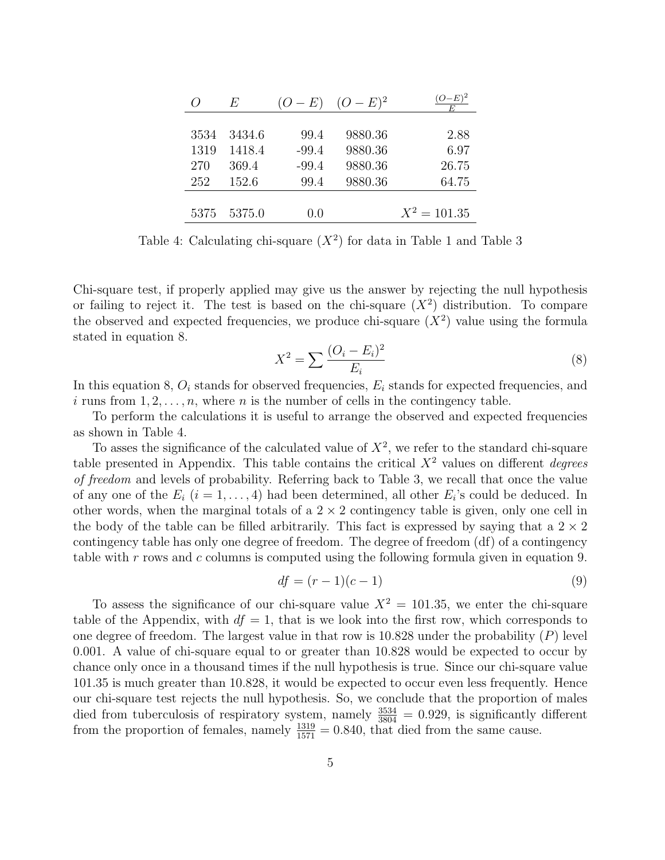|      | $H_i$  | $(O-E)$ | $(O - E)^2$ | $(O-E)^2$      |
|------|--------|---------|-------------|----------------|
|      |        |         |             |                |
| 3534 | 3434.6 | 99.4    | 9880.36     | 2.88           |
| 1319 | 1418.4 | $-99.4$ | 9880.36     | 6.97           |
| 270  | 369.4  | $-99.4$ | 9880.36     | 26.75          |
| 252  | 152.6  | 99.4    | 9880.36     | 64.75          |
|      |        |         |             |                |
| 5375 | 5375.0 | (1.0)   |             | $X^2 = 101.35$ |

Table 4: Calculating chi-square  $(X^2)$  for data in Table 1 and Table 3

Chi-square test, if properly applied may give us the answer by rejecting the null hypothesis or failing to reject it. The test is based on the chi-square  $(X^2)$  distribution. To compare the observed and expected frequencies, we produce chi-square  $(X^2)$  value using the formula stated in equation 8.

$$
X^{2} = \sum \frac{(O_{i} - E_{i})^{2}}{E_{i}} \tag{8}
$$

In this equation 8,  $O_i$  stands for observed frequencies,  $E_i$  stands for expected frequencies, and i runs from  $1, 2, \ldots, n$ , where n is the number of cells in the contingency table.

To perform the calculations it is useful to arrange the observed and expected frequencies as shown in Table 4.

To asses the significance of the calculated value of  $X^2$ , we refer to the standard chi-square table presented in Appendix. This table contains the critical  $X<sup>2</sup>$  values on different *degrees* of freedom and levels of probability. Referring back to Table 3, we recall that once the value of any one of the  $E_i$   $(i = 1, ..., 4)$  had been determined, all other  $E_i$ 's could be deduced. In other words, when the marginal totals of a  $2 \times 2$  contingency table is given, only one cell in the body of the table can be filled arbitrarily. This fact is expressed by saying that a  $2 \times 2$ contingency table has only one degree of freedom. The degree of freedom (df) of a contingency table with r rows and c columns is computed using the following formula given in equation 9.

$$
df = (r-1)(c-1) \tag{9}
$$

To assess the significance of our chi-square value  $X^2 = 101.35$ , we enter the chi-square table of the Appendix, with  $df = 1$ , that is we look into the first row, which corresponds to one degree of freedom. The largest value in that row is  $10.828$  under the probability  $(P)$  level 0.001. A value of chi-square equal to or greater than 10.828 would be expected to occur by chance only once in a thousand times if the null hypothesis is true. Since our chi-square value 101.35 is much greater than 10.828, it would be expected to occur even less frequently. Hence our chi-square test rejects the null hypothesis. So, we conclude that the proportion of males died from tuberculosis of respiratory system, namely  $\frac{3534}{3804} = 0.929$ , is significantly different from the proportion of females, namely  $\frac{1319}{1571} = 0.840$ , that died from the same cause.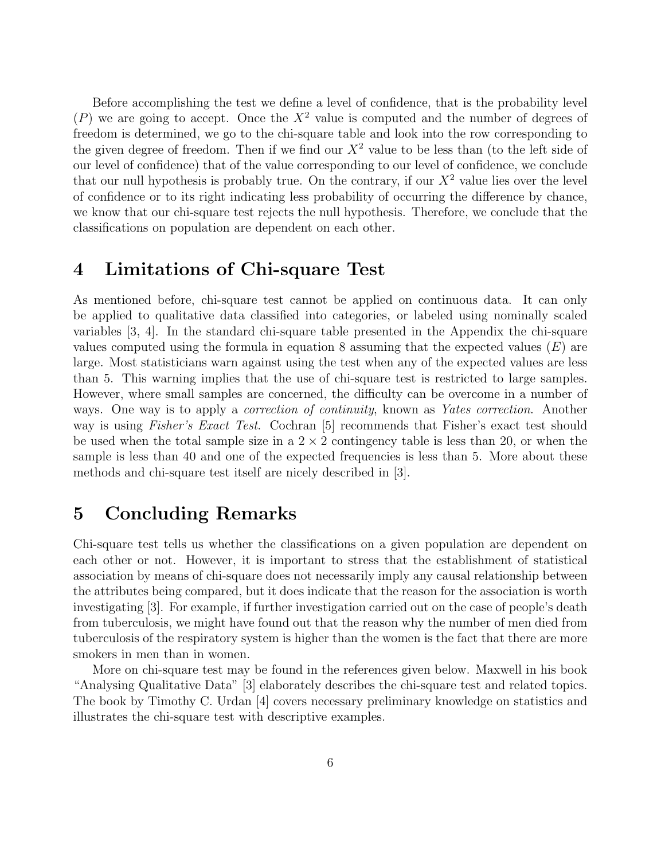Before accomplishing the test we define a level of confidence, that is the probability level  $(P)$  we are going to accept. Once the  $X<sup>2</sup>$  value is computed and the number of degrees of freedom is determined, we go to the chi-square table and look into the row corresponding to the given degree of freedom. Then if we find our  $X<sup>2</sup>$  value to be less than (to the left side of our level of confidence) that of the value corresponding to our level of confidence, we conclude that our null hypothesis is probably true. On the contrary, if our  $X<sup>2</sup>$  value lies over the level of confidence or to its right indicating less probability of occurring the difference by chance, we know that our chi-square test rejects the null hypothesis. Therefore, we conclude that the classifications on population are dependent on each other.

#### 4 Limitations of Chi-square Test

As mentioned before, chi-square test cannot be applied on continuous data. It can only be applied to qualitative data classified into categories, or labeled using nominally scaled variables [3, 4]. In the standard chi-square table presented in the Appendix the chi-square values computed using the formula in equation 8 assuming that the expected values  $(E)$  are large. Most statisticians warn against using the test when any of the expected values are less than 5. This warning implies that the use of chi-square test is restricted to large samples. However, where small samples are concerned, the difficulty can be overcome in a number of ways. One way is to apply a *correction of continuity*, known as *Yates correction*. Another way is using *Fisher's Exact Test.* Cochran [5] recommends that Fisher's exact test should be used when the total sample size in a  $2 \times 2$  contingency table is less than 20, or when the sample is less than 40 and one of the expected frequencies is less than 5. More about these methods and chi-square test itself are nicely described in [3].

## 5 Concluding Remarks

Chi-square test tells us whether the classifications on a given population are dependent on each other or not. However, it is important to stress that the establishment of statistical association by means of chi-square does not necessarily imply any causal relationship between the attributes being compared, but it does indicate that the reason for the association is worth investigating [3]. For example, if further investigation carried out on the case of people's death from tuberculosis, we might have found out that the reason why the number of men died from tuberculosis of the respiratory system is higher than the women is the fact that there are more smokers in men than in women.

More on chi-square test may be found in the references given below. Maxwell in his book "Analysing Qualitative Data" [3] elaborately describes the chi-square test and related topics. The book by Timothy C. Urdan [4] covers necessary preliminary knowledge on statistics and illustrates the chi-square test with descriptive examples.